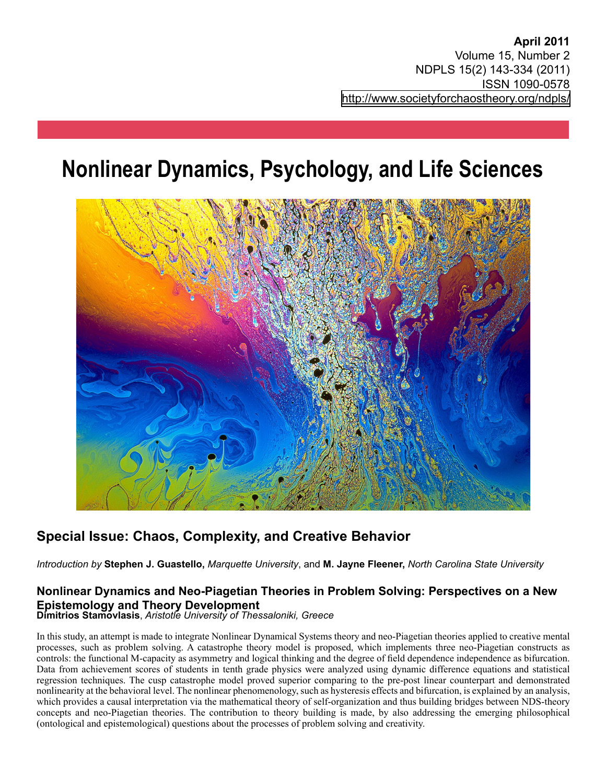# **Nonlinear Dynamics, Psychology, and Life Sciences**



## **Special Issue: Chaos, Complexity, and Creative Behavior**

*Introduction by* **Stephen J. Guastello,** *Marquette University*, and **M. Jayne Fleener,** *North Carolina State University*

## **Nonlinear Dynamics and Neo-Piagetian Theories in Problem Solving: Perspectives on a New Epistemology and Theory Development**

**Dimitrios Stamovlasis**, *Aristotle University of Thessaloniki, Greece*

In this study, an attempt is made to integrate Nonlinear Dynamical Systems theory and neo-Piagetian theories applied to creative mental processes, such as problem solving. A catastrophe theory model is proposed, which implements three neo-Piagetian constructs as controls: the functional M-capacity as asymmetry and logical thinking and the degree of field dependence independence as bifurcation. Data from achievement scores of students in tenth grade physics were analyzed using dynamic difference equations and statistical regression techniques. The cusp catastrophe model proved superior comparing to the pre-post linear counterpart and demonstrated nonlinearity at the behavioral level. The nonlinear phenomenology, such as hysteresis effects and bifurcation, is explained by an analysis, which provides a causal interpretation via the mathematical theory of self-organization and thus building bridges between NDS-theory concepts and neo-Piagetian theories. The contribution to theory building is made, by also addressing the emerging philosophical (ontological and epistemological) questions about the processes of problem solving and creativity.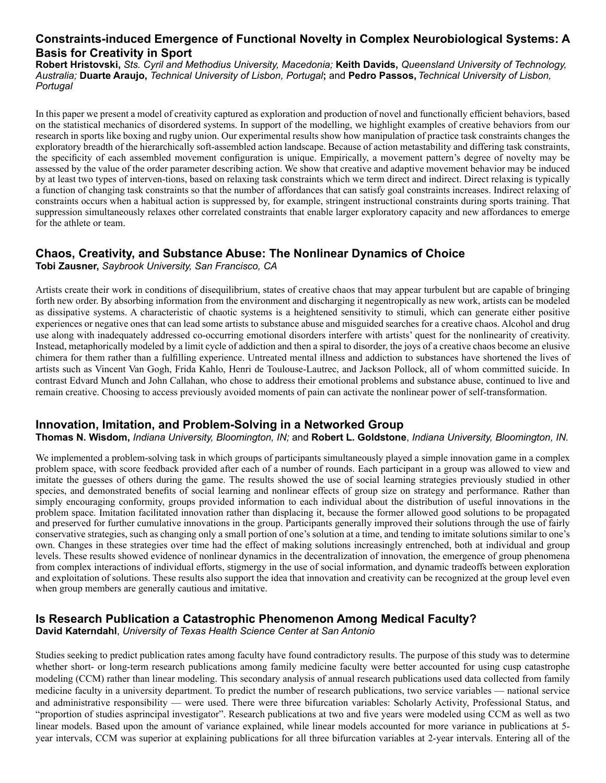## **Constraints-induced Emergence of Functional Novelty in Complex Neurobiological Systems: A Basis for Creativity in Sport**

**Robert Hristovski,** *Sts. Cyril and Methodius University, Macedonia;* **Keith Davids,** *Queensland University of Technology, Australia;* **Duarte Araujo,** *Technical University of Lisbon, Portugal***;** and **Pedro Passos,** *Technical University of Lisbon, Portugal*

In this paper we present a model of creativity captured as exploration and production of novel and functionally efficient behaviors, based on the statistical mechanics of disordered systems. In support of the modelling, we highlight examples of creative behaviors from our research in sports like boxing and rugby union. Our experimental results show how manipulation of practice task constraints changes the exploratory breadth of the hierarchically soft-assembled action landscape. Because of action metastability and differing task constraints, the specificity of each assembled movement configuration is unique. Empirically, a movement pattern's degree of novelty may be assessed by the value of the order parameter describing action. We show that creative and adaptive movement behavior may be induced by at least two types of interven-tions, based on relaxing task constraints which we term direct and indirect. Direct relaxing is typically a function of changing task constraints so that the number of affordances that can satisfy goal constraints increases. Indirect relaxing of constraints occurs when a habitual action is suppressed by, for example, stringent instructional constraints during sports training. That suppression simultaneously relaxes other correlated constraints that enable larger exploratory capacity and new affordances to emerge for the athlete or team.

## **Chaos, Creativity, and Substance Abuse: The Nonlinear Dynamics of Choice**

**Tobi Zausner,** *Saybrook University, San Francisco, CA*

Artists create their work in conditions of disequilibrium, states of creative chaos that may appear turbulent but are capable of bringing forth new order. By absorbing information from the environment and discharging it negentropically as new work, artists can be modeled as dissipative systems. A characteristic of chaotic systems is a heightened sensitivity to stimuli, which can generate either positive experiences or negative ones that can lead some artists to substance abuse and misguided searches for a creative chaos. Alcohol and drug use along with inadequately addressed co-occurring emotional disorders interfere with artists' quest for the nonlinearity of creativity. Instead, metaphorically modeled by a limit cycle of addiction and then a spiral to disorder, the joys of a creative chaos become an elusive chimera for them rather than a fulfilling experience. Untreated mental illness and addiction to substances have shortened the lives of artists such as Vincent Van Gogh, Frida Kahlo, Henri de Toulouse-Lautrec, and Jackson Pollock, all of whom committed suicide. In contrast Edvard Munch and John Callahan, who chose to address their emotional problems and substance abuse, continued to live and remain creative. Choosing to access previously avoided moments of pain can activate the nonlinear power of self-transformation.

## **Innovation, Imitation, and Problem-Solving in a Networked Group**

#### **Thomas N. Wisdom,** *Indiana University, Bloomington, IN;* and **Robert L. Goldstone**, *Indiana University, Bloomington, IN.*

We implemented a problem-solving task in which groups of participants simultaneously played a simple innovation game in a complex problem space, with score feedback provided after each of a number of rounds. Each participant in a group was allowed to view and imitate the guesses of others during the game. The results showed the use of social learning strategies previously studied in other species, and demonstrated benefits of social learning and nonlinear effects of group size on strategy and performance. Rather than simply encouraging conformity, groups provided information to each individual about the distribution of useful innovations in the problem space. Imitation facilitated innovation rather than displacing it, because the former allowed good solutions to be propagated and preserved for further cumulative innovations in the group. Participants generally improved their solutions through the use of fairly conservative strategies, such as changing only a small portion of one's solution at a time, and tending to imitate solutions similar to one's own. Changes in these strategies over time had the effect of making solutions increasingly entrenched, both at individual and group levels. These results showed evidence of nonlinear dynamics in the decentralization of innovation, the emergence of group phenomena from complex interactions of individual efforts, stigmergy in the use of social information, and dynamic tradeoffs between exploration and exploitation of solutions. These results also support the idea that innovation and creativity can be recognized at the group level even when group members are generally cautious and imitative.

## **Is Research Publication a Catastrophic Phenomenon Among Medical Faculty?**

**David Katerndahl**, *University of Texas Health Science Center at San Antonio*

Studies seeking to predict publication rates among faculty have found contradictory results. The purpose of this study was to determine whether short- or long-term research publications among family medicine faculty were better accounted for using cusp catastrophe modeling (CCM) rather than linear modeling. This secondary analysis of annual research publications used data collected from family medicine faculty in a university department. To predict the number of research publications, two service variables — national service and administrative responsibility — were used. There were three bifurcation variables: Scholarly Activity, Professional Status, and "proportion of studies asprincipal investigator". Research publications at two and five years were modeled using CCM as well as two linear models. Based upon the amount of variance explained, while linear models accounted for more variance in publications at 5 year intervals, CCM was superior at explaining publications for all three bifurcation variables at 2-year intervals. Entering all of the